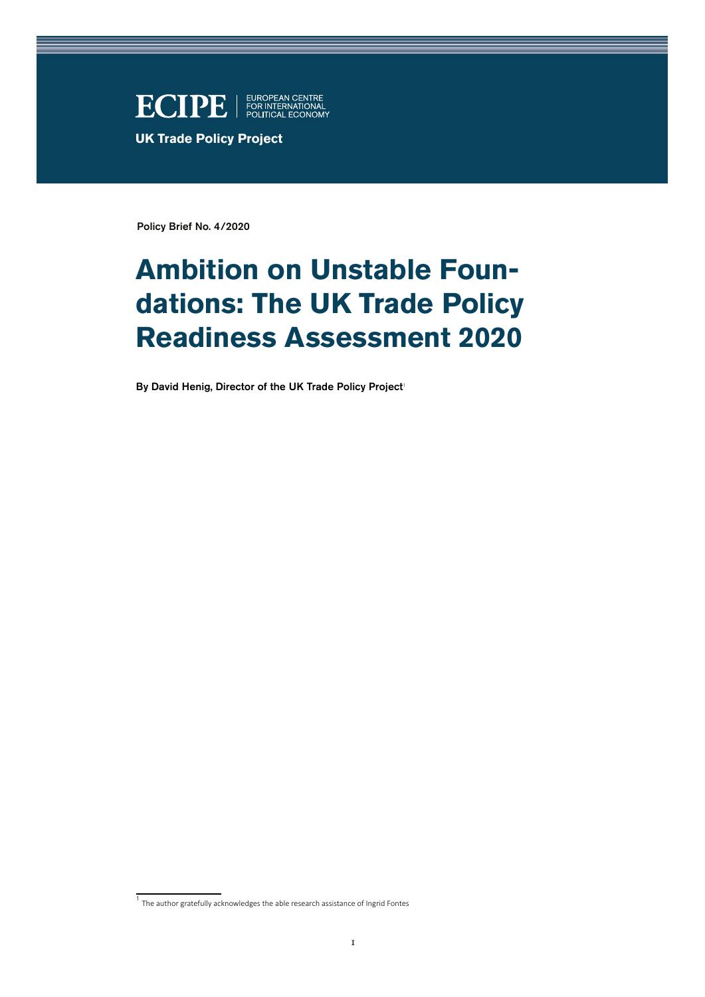

Policy Brief No. 4/2020

# **Ambition on Unstable Foundations: The UK Trade Policy Readiness Assessment 2020**

By David Henig, Director of the UK Trade Policy Project<sup>1</sup>

<sup>1</sup> The author gratefully acknowledges the able research assistance of Ingrid Fontes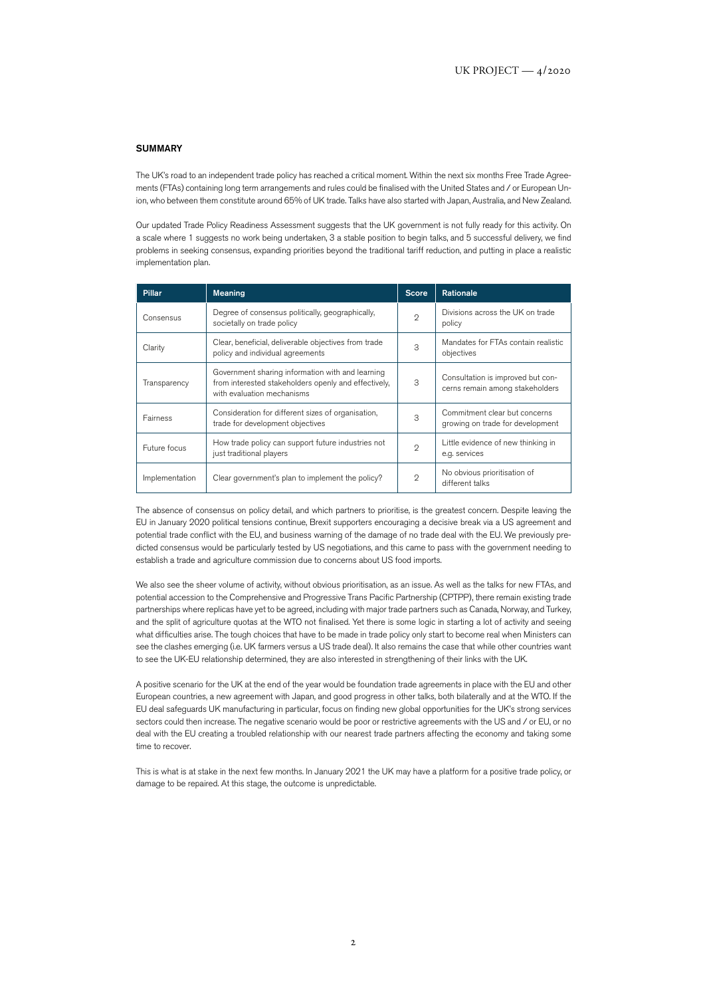#### **SUMMADY**

The UK's road to an independent trade policy has reached a critical moment. Within the next six months Free Trade Agreements (FTAs) containing long term arrangements and rules could be finalised with the United States and / or European Union, who between them constitute around 65% of UK trade. Talks have also started with Japan, Australia, and New Zealand.

Our updated Trade Policy Readiness Assessment suggests that the UK government is not fully ready for this activity. On a scale where 1 suggests no work being undertaken, 3 a stable position to begin talks, and 5 successful delivery, we find problems in seeking consensus, expanding priorities beyond the traditional tariff reduction, and putting in place a realistic implementation plan.

| <b>Pillar</b>  | <b>Meaning</b>                                                                                                                         | <b>Score</b>   | Rationale                                                            |
|----------------|----------------------------------------------------------------------------------------------------------------------------------------|----------------|----------------------------------------------------------------------|
| Consensus      | Degree of consensus politically, geographically,<br>societally on trade policy                                                         | $\mathcal{D}$  | Divisions across the UK on trade<br>policy                           |
| Clarity        | Clear, beneficial, deliverable objectives from trade<br>policy and individual agreements                                               | 3              | Mandates for FTAs contain realistic<br>objectives                    |
| Transparency   | Government sharing information with and learning<br>from interested stakeholders openly and effectively,<br>with evaluation mechanisms | 3              | Consultation is improved but con-<br>cerns remain among stakeholders |
| Fairness       | Consideration for different sizes of organisation,<br>trade for development objectives                                                 | 3              | Commitment clear but concerns<br>growing on trade for development    |
| Future focus   | How trade policy can support future industries not<br>just traditional players                                                         | $\mathcal{D}$  | Little evidence of new thinking in<br>e.g. services                  |
| Implementation | Clear government's plan to implement the policy?                                                                                       | $\mathfrak{D}$ | No obvious prioritisation of<br>different talks                      |

The absence of consensus on policy detail, and which partners to prioritise, is the greatest concern. Despite leaving the EU in January 2020 political tensions continue, Brexit supporters encouraging a decisive break via a US agreement and potential trade conflict with the EU, and business warning of the damage of no trade deal with the EU. We previously predicted consensus would be particularly tested by US negotiations, and this came to pass with the government needing to establish a trade and agriculture commission due to concerns about US food imports.

We also see the sheer volume of activity, without obvious prioritisation, as an issue. As well as the talks for new FTAs, and potential accession to the Comprehensive and Progressive Trans Pacific Partnership (CPTPP), there remain existing trade partnerships where replicas have yet to be agreed, including with major trade partners such as Canada, Norway, and Turkey, and the split of agriculture quotas at the WTO not finalised. Yet there is some logic in starting a lot of activity and seeing what difficulties arise. The tough choices that have to be made in trade policy only start to become real when Ministers can see the clashes emerging (i.e. UK farmers versus a US trade deal). It also remains the case that while other countries want to see the UK-EU relationship determined, they are also interested in strengthening of their links with the UK.

A positive scenario for the UK at the end of the year would be foundation trade agreements in place with the EU and other European countries, a new agreement with Japan, and good progress in other talks, both bilaterally and at the WTO. If the EU deal safeguards UK manufacturing in particular, focus on finding new global opportunities for the UK's strong services sectors could then increase. The negative scenario would be poor or restrictive agreements with the US and / or EU, or no deal with the EU creating a troubled relationship with our nearest trade partners affecting the economy and taking some time to recover.

This is what is at stake in the next few months. In January 2021 the UK may have a platform for a positive trade policy, or damage to be repaired. At this stage, the outcome is unpredictable.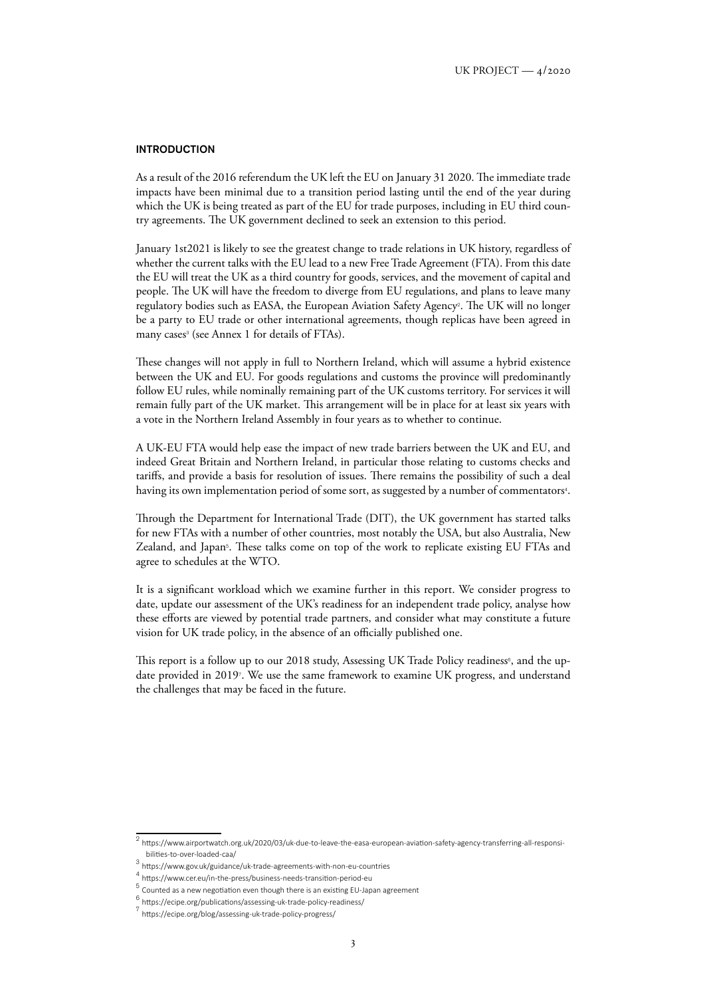## **INTRODUCTION**

As a result of the 2016 referendum the UK left the EU on January 31 2020. The immediate trade impacts have been minimal due to a transition period lasting until the end of the year during which the UK is being treated as part of the EU for trade purposes, including in EU third country agreements. The UK government declined to seek an extension to this period.

January 1st2021 is likely to see the greatest change to trade relations in UK history, regardless of whether the current talks with the EU lead to a new Free Trade Agreement (FTA). From this date the EU will treat the UK as a third country for goods, services, and the movement of capital and people. The UK will have the freedom to diverge from EU regulations, and plans to leave many regulatory bodies such as EASA, the European Aviation Safety Agency2. The UK will no longer be a party to EU trade or other international agreements, though replicas have been agreed in many cases<sup>3</sup> (see Annex 1 for details of FTAs).

These changes will not apply in full to Northern Ireland, which will assume a hybrid existence between the UK and EU. For goods regulations and customs the province will predominantly follow EU rules, while nominally remaining part of the UK customs territory. For services it will remain fully part of the UK market. This arrangement will be in place for at least six years with a vote in the Northern Ireland Assembly in four years as to whether to continue.

A UK-EU FTA would help ease the impact of new trade barriers between the UK and EU, and indeed Great Britain and Northern Ireland, in particular those relating to customs checks and tariffs, and provide a basis for resolution of issues. There remains the possibility of such a deal having its own implementation period of some sort, as suggested by a number of commentators<sup>4</sup>.

Through the Department for International Trade (DIT), the UK government has started talks for new FTAs with a number of other countries, most notably the USA, but also Australia, New Zealand, and Japan<sup>5</sup>. These talks come on top of the work to replicate existing EU FTAs and agree to schedules at the WTO.

It is a significant workload which we examine further in this report. We consider progress to date, update our assessment of the UK's readiness for an independent trade policy, analyse how these efforts are viewed by potential trade partners, and consider what may constitute a future vision for UK trade policy, in the absence of an officially published one.

This report is a follow up to our 2018 study, Assessing UK Trade Policy readiness<sup>6</sup>, and the update provided in 20197. We use the same framework to examine UK progress, and understand the challenges that may be faced in the future.

 $^2$  [https://www.airportwatch.org.uk/2020/03/uk-due-to-leave-the-easa-european-aviation-safety-agency-transferring-all-responsi](https://www.airportwatch.org.uk/2020/03/uk-due-to-leave-the-easa-european-aviation-safety-agency-transferring-all-responsibilities-to-over-loaded-caa/)[bilities-to-over-loaded-caa/](https://www.airportwatch.org.uk/2020/03/uk-due-to-leave-the-easa-european-aviation-safety-agency-transferring-all-responsibilities-to-over-loaded-caa/)

 $3$  <https://www.gov.uk/guidance/uk-trade-agreements-with-non-eu-countries>

<sup>4</sup> <https://www.cer.eu/in-the-press/business-needs-transition-period-eu>

 $5$  Counted as a new negotiation even though there is an existing EU-Japan agreement

<sup>6</sup> <https://ecipe.org/publications/assessing-uk-trade-policy-readiness/>

<sup>7</sup> <https://ecipe.org/blog/assessing-uk-trade-policy-progress/>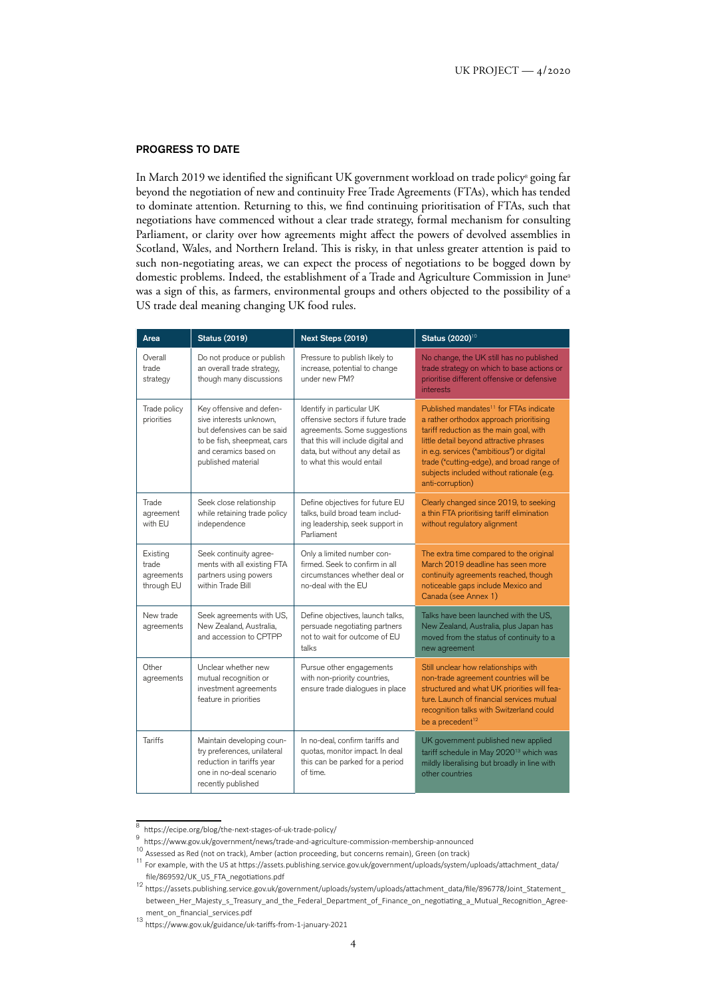## PROGRESS TO DATE

In March 2019 we identified the significant UK government workload on trade policy<sup>8</sup> going far beyond the negotiation of new and continuity Free Trade Agreements (FTAs), which has tended to dominate attention. Returning to this, we find continuing prioritisation of FTAs, such that negotiations have commenced without a clear trade strategy, formal mechanism for consulting Parliament, or clarity over how agreements might affect the powers of devolved assemblies in Scotland, Wales, and Northern Ireland. This is risky, in that unless greater attention is paid to such non-negotiating areas, we can expect the process of negotiations to be bogged down by domestic problems. Indeed, the establishment of a Trade and Agriculture Commission in June<sup>9</sup> was a sign of this, as farmers, environmental groups and others objected to the possibility of a US trade deal meaning changing UK food rules.

| Area                                          | <b>Status (2019)</b>                                                                                                                                            | Next Steps (2019)                                                                                                                                                                                    | Status (2020) <sup>10</sup>                                                                                                                                                                                                                                                                                                                    |  |  |  |
|-----------------------------------------------|-----------------------------------------------------------------------------------------------------------------------------------------------------------------|------------------------------------------------------------------------------------------------------------------------------------------------------------------------------------------------------|------------------------------------------------------------------------------------------------------------------------------------------------------------------------------------------------------------------------------------------------------------------------------------------------------------------------------------------------|--|--|--|
| Overall<br>trade<br>strategy                  | Do not produce or publish<br>an overall trade strategy,<br>though many discussions                                                                              | Pressure to publish likely to<br>increase, potential to change<br>under new PM?                                                                                                                      | No change, the UK still has no published<br>trade strategy on which to base actions or<br>prioritise different offensive or defensive<br>interests                                                                                                                                                                                             |  |  |  |
| Trade policy<br>priorities                    | Key offensive and defen-<br>sive interests unknown,<br>but defensives can be said<br>to be fish, sheepmeat, cars<br>and ceramics based on<br>published material | Identify in particular UK<br>offensive sectors if future trade<br>agreements. Some suggestions<br>that this will include digital and<br>data, but without any detail as<br>to what this would entail | Published mandates <sup>11</sup> for FTAs indicate<br>a rather orthodox approach prioritising<br>tariff reduction as the main goal, with<br>little detail beyond attractive phrases<br>in e.g. services ("ambitious") or digital<br>trade ("cutting-edge), and broad range of<br>subjects included without rationale (e.g.<br>anti-corruption) |  |  |  |
| Trade<br>agreement<br>with EU                 | Seek close relationship<br>while retaining trade policy<br>independence                                                                                         | Define objectives for future EU<br>talks, build broad team includ-<br>ing leadership, seek support in<br>Parliament                                                                                  | Clearly changed since 2019, to seeking<br>a thin FTA prioritising tariff elimination<br>without regulatory alignment                                                                                                                                                                                                                           |  |  |  |
| Existing<br>trade<br>agreements<br>through EU | Seek continuity agree-<br>ments with all existing FTA<br>partners using powers<br>within Trade Bill                                                             | Only a limited number con-<br>firmed. Seek to confirm in all<br>circumstances whether deal or<br>no-deal with the EU                                                                                 | The extra time compared to the original<br>March 2019 deadline has seen more<br>continuity agreements reached, though<br>noticeable gaps include Mexico and<br>Canada (see Annex 1)                                                                                                                                                            |  |  |  |
| New trade<br>agreements                       | Seek agreements with US,<br>New Zealand, Australia,<br>and accession to CPTPP                                                                                   | Define objectives, launch talks,<br>persuade negotiating partners<br>not to wait for outcome of EU<br>talks                                                                                          | Talks have been launched with the US,<br>New Zealand, Australia, plus Japan has<br>moved from the status of continuity to a<br>new agreement                                                                                                                                                                                                   |  |  |  |
| Other<br>agreements                           | Unclear whether new<br>mutual recognition or<br>investment agreements<br>feature in priorities                                                                  | Pursue other engagements<br>with non-priority countries,<br>ensure trade dialogues in place                                                                                                          | Still unclear how relationships with<br>non-trade agreement countries will be<br>structured and what UK priorities will fea-<br>ture. Launch of financial services mutual<br>recognition talks with Switzerland could<br>be a precedent <sup>12</sup>                                                                                          |  |  |  |
| <b>Tariffs</b>                                | Maintain developing coun-<br>try preferences, unilateral<br>reduction in tariffs year<br>one in no-deal scenario<br>recently published                          | In no-deal, confirm tariffs and<br>quotas, monitor impact. In deal<br>this can be parked for a period<br>of time.                                                                                    | UK government published new applied<br>tariff schedule in May 2020 <sup>13</sup> which was<br>mildly liberalising but broadly in line with<br>other countries                                                                                                                                                                                  |  |  |  |

 $\overline{8}$ <https://ecipe.org/blog/the-next-stages-of-uk-trade-policy/>

<sup>&</sup>lt;sup>9</sup><https://www.gov.uk/government/news/trade-and-agriculture-commission-membership-announced>

<sup>10</sup> Assessed as Red (not on track), Amber (action proceeding, but concerns remain), Green (on track)

<sup>11</sup> For example, with the US at [https://assets.publishing.service.gov.uk/government/uploads/system/uploads/attachment\\_data/](https://assets.publishing.service.gov.uk/government/uploads/system/uploads/attachment_data/file/869592/UK_US_FTA_negotiations.pdf) [file/869592/UK\\_US\\_FTA\\_negotiations.pdf](https://assets.publishing.service.gov.uk/government/uploads/system/uploads/attachment_data/file/869592/UK_US_FTA_negotiations.pdf)

<sup>12</sup> [https://assets.publishing.service.gov.uk/government/uploads/system/uploads/attachment\\_data/file/896778/Joint\\_Statement\\_](https://assets.publishing.service.gov.uk/government/uploads/system/uploads/attachment_data/file/896778/Joint_Statement_between_Her_Majesty_s_Treasury_and_the_Federal_Department_of_Finance_on_negotiating_a_Mutual_Recognition_Agreement_on_financial_services.pdf) [between\\_Her\\_Majesty\\_s\\_Treasury\\_and\\_the\\_Federal\\_Department\\_of\\_Finance\\_on\\_negotiating\\_a\\_Mutual\\_Recognition\\_Agree](https://assets.publishing.service.gov.uk/government/uploads/system/uploads/attachment_data/file/896778/Joint_Statement_between_Her_Majesty_s_Treasury_and_the_Federal_Department_of_Finance_on_negotiating_a_Mutual_Recognition_Agreement_on_financial_services.pdf)[ment\\_on\\_financial\\_services.pdf](https://assets.publishing.service.gov.uk/government/uploads/system/uploads/attachment_data/file/896778/Joint_Statement_between_Her_Majesty_s_Treasury_and_the_Federal_Department_of_Finance_on_negotiating_a_Mutual_Recognition_Agreement_on_financial_services.pdf)

<sup>13</sup> <https://www.gov.uk/guidance/uk-tariffs-from-1-january-2021>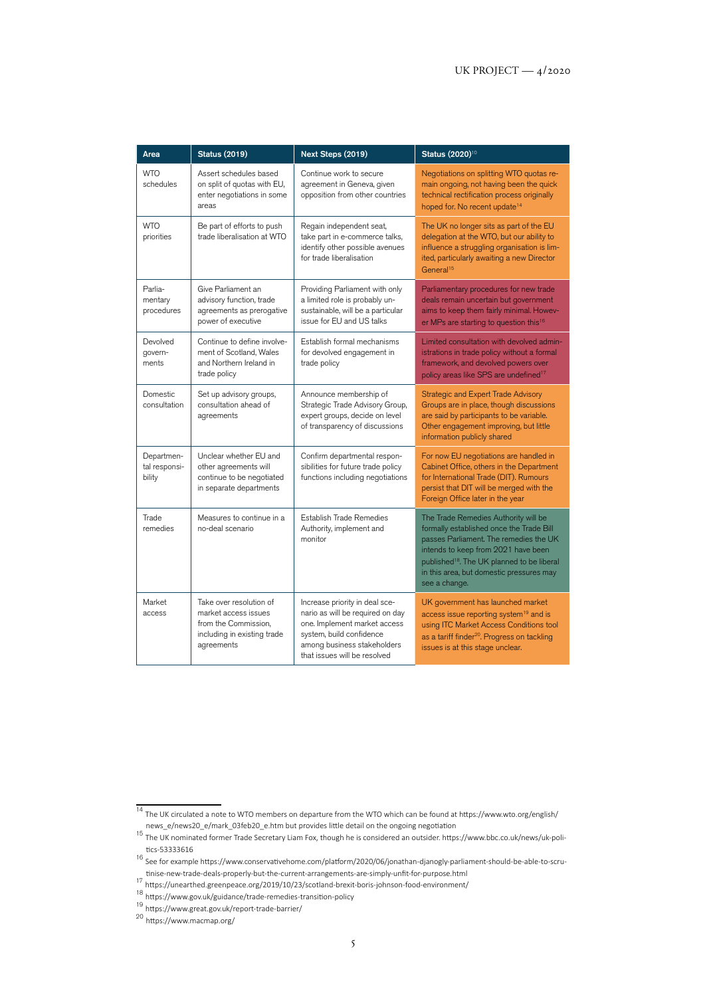| Area                                  | <b>Status (2019)</b>                                                                                                 | Next Steps (2019)                                                                                                                                                                             | Status (2020) <sup>10</sup>                                                                                                                                                                                                                                                              |  |  |  |  |
|---------------------------------------|----------------------------------------------------------------------------------------------------------------------|-----------------------------------------------------------------------------------------------------------------------------------------------------------------------------------------------|------------------------------------------------------------------------------------------------------------------------------------------------------------------------------------------------------------------------------------------------------------------------------------------|--|--|--|--|
| <b>WTO</b><br>schedules               | Assert schedules based<br>on split of quotas with EU,<br>enter negotiations in some<br>areas                         | Continue work to secure<br>agreement in Geneva, given<br>opposition from other countries                                                                                                      | Negotiations on splitting WTO quotas re-<br>main ongoing, not having been the quick<br>technical rectification process originally<br>hoped for. No recent update <sup>14</sup>                                                                                                           |  |  |  |  |
| <b>WTO</b><br>priorities              | Be part of efforts to push<br>trade liberalisation at WTO                                                            | Regain independent seat,<br>take part in e-commerce talks,<br>identify other possible avenues<br>for trade liberalisation                                                                     | The UK no longer sits as part of the EU<br>delegation at the WTO, but our ability to<br>influence a struggling organisation is lim-<br>ited, particularly awaiting a new Director<br>General <sup>15</sup>                                                                               |  |  |  |  |
| Parlia-<br>mentary<br>procedures      | Give Parliament an<br>advisory function, trade<br>agreements as prerogative<br>power of executive                    | Providing Parliament with only<br>a limited role is probably un-<br>sustainable, will be a particular<br>issue for EU and US talks                                                            | Parliamentary procedures for new trade<br>deals remain uncertain but government<br>aims to keep them fairly minimal. Howev-<br>er MPs are starting to question this <sup>16</sup>                                                                                                        |  |  |  |  |
| Devolved<br>govern-<br>ments          | Continue to define involve-<br>ment of Scotland, Wales<br>and Northern Ireland in<br>trade policy                    | Establish formal mechanisms<br>for devolved engagement in<br>trade policy                                                                                                                     | Limited consultation with devolved admin-<br>istrations in trade policy without a formal<br>framework, and devolved powers over<br>policy areas like SPS are undefined <sup>17</sup>                                                                                                     |  |  |  |  |
| Domestic<br>consultation              | Set up advisory groups,<br>consultation ahead of<br>agreements                                                       | Announce membership of<br>Strategic Trade Advisory Group,<br>expert groups, decide on level<br>of transparency of discussions                                                                 | Strategic and Expert Trade Advisory<br>Groups are in place, though discussions<br>are said by participants to be variable.<br>Other engagement improving, but little<br>information publicly shared                                                                                      |  |  |  |  |
| Departmen-<br>tal responsi-<br>bility | Unclear whether EU and<br>other agreements will<br>continue to be negotiated<br>in separate departments              | Confirm departmental respon-<br>sibilities for future trade policy<br>functions including negotiations                                                                                        | For now EU negotiations are handled in<br>Cabinet Office, others in the Department<br>for International Trade (DIT). Rumours<br>persist that DIT will be merged with the<br>Foreign Office later in the year                                                                             |  |  |  |  |
| Trade<br>remedies                     | Measures to continue in a<br>no-deal scenario                                                                        | Establish Trade Remedies<br>Authority, implement and<br>monitor                                                                                                                               | The Trade Remedies Authority will be<br>formally established once the Trade Bill<br>passes Parliament. The remedies the UK<br>intends to keep from 2021 have been<br>published <sup>18</sup> . The UK planned to be liberal<br>in this area, but domestic pressures may<br>see a change. |  |  |  |  |
| Market<br>access                      | Take over resolution of<br>market access issues<br>from the Commission,<br>including in existing trade<br>agreements | Increase priority in deal sce-<br>nario as will be required on day<br>one. Implement market access<br>system, build confidence<br>among business stakeholders<br>that issues will be resolved | UK government has launched market<br>access issue reporting system <sup>19</sup> and is<br>using ITC Market Access Conditions tool<br>as a tariff finder <sup>20</sup> . Progress on tackling<br>issues is at this stage unclear.                                                        |  |  |  |  |

<sup>14</sup> The UK circulated a note to WTO members on departure from the WTO which can be found at [https://www.wto.org/english/](https://www.wto.org/english/news_e/news20_e/mark_03feb20_e.htm)

[news\\_e/news20\\_e/mark\\_03feb20\\_e.htm](https://www.wto.org/english/news_e/news20_e/mark_03feb20_e.htm) but provides little detail on the ongoing negotiation<br><sup>15</sup> The UK nominated former Trade Secretary Liam Fox, though he is considered an outsider. [https://www.bbc.co.uk/news/uk-poli](https://www.bbc.co.uk/news/uk-politics-53333616)[tics-53333616](https://www.bbc.co.uk/news/uk-politics-53333616)

<sup>16</sup> See for example [https://www.conservativehome.com/platform/2020/06/jonathan-djanogly-parliament-should-be-able-to-scru-](https://www.conservativehome.com/platform/2020/06/jonathan-djanogly-parliament-should-be-able-to-scrutinise-new-trade-deals-properly-but-the-current-arrangements-are-simply-unfit-for-purpose.html)

[tinise-new-trade-deals-properly-but-the-current-arrangements-are-simply-unfit-for-purpose.html](https://www.conservativehome.com/platform/2020/06/jonathan-djanogly-parliament-should-be-able-to-scrutinise-new-trade-deals-properly-but-the-current-arrangements-are-simply-unfit-for-purpose.html) <sup>17</sup> <https://unearthed.greenpeace.org/2019/10/23/scotland-brexit-boris-johnson-food-environment/>

<sup>18</sup> <https://www.gov.uk/guidance/trade-remedies-transition-policy>

<sup>19</sup> <https://www.great.gov.uk/report-trade-barrier/>

<sup>20</sup> <https://www.macmap.org/>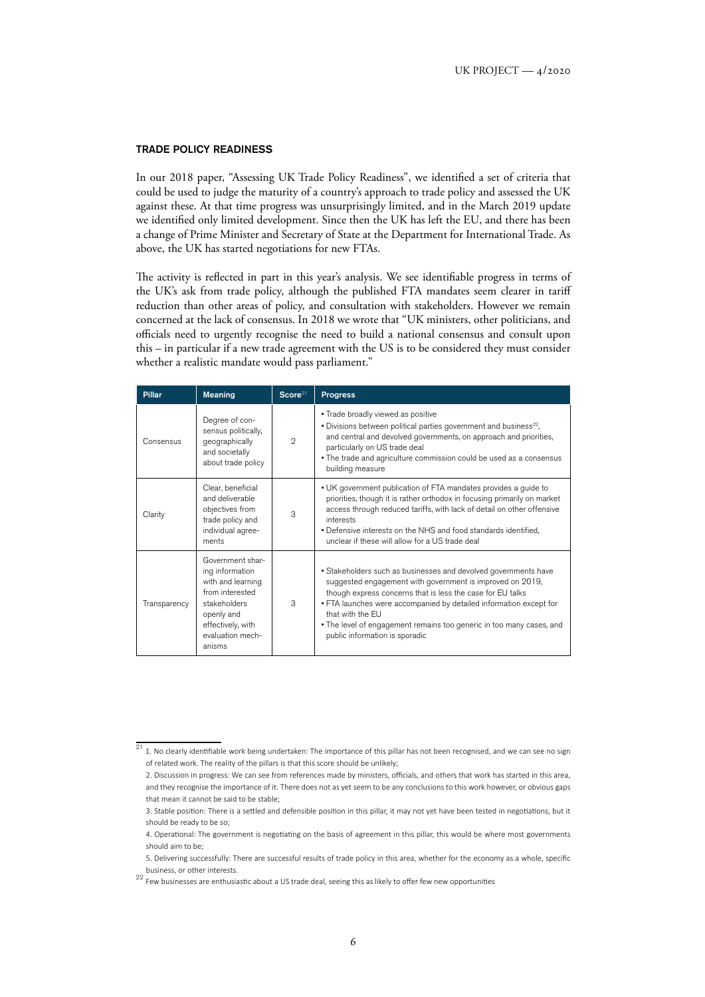#### TRADE POLICY READINESS

In our 2018 paper, "Assessing UK Trade Policy Readiness", we identified a set of criteria that could be used to judge the maturity of a country's approach to trade policy and assessed the UK against these. At that time progress was unsurprisingly limited, and in the March 2019 update we identified only limited development. Since then the UK has left the EU, and there has been a change of Prime Minister and Secretary of State at the Department for International Trade. As above, the UK has started negotiations for new FTAs.

The activity is reflected in part in this year's analysis. We see identifiable progress in terms of the UK's ask from trade policy, although the published FTA mandates seem clearer in tariff reduction than other areas of policy, and consultation with stakeholders. However we remain concerned at the lack of consensus. In 2018 we wrote that "UK ministers, other politicians, and officials need to urgently recognise the need to build a national consensus and consult upon this – in particular if a new trade agreement with the US is to be considered they must consider whether a realistic mandate would pass parliament."

| <b>Pillar</b> | <b>Meaning</b>                                                                                                                                               | Score <sup>21</sup> | <b>Progress</b>                                                                                                                                                                                                                                                                                                                                                                                |  |  |  |
|---------------|--------------------------------------------------------------------------------------------------------------------------------------------------------------|---------------------|------------------------------------------------------------------------------------------------------------------------------------------------------------------------------------------------------------------------------------------------------------------------------------------------------------------------------------------------------------------------------------------------|--|--|--|
| Consensus     | Degree of con-<br>sensus politically,<br>geographically<br>and societally<br>about trade policy                                                              | $\mathcal{D}$       | . Trade broadly viewed as positive<br>• Divisions between political parties government and business <sup>22</sup> ,<br>and central and devolved governments, on approach and priorities,<br>particularly on US trade deal<br>. The trade and agriculture commission could be used as a consensus<br>building measure                                                                           |  |  |  |
| Clarity       | Clear, beneficial<br>and deliverable<br>objectives from<br>trade policy and<br>individual agree-<br>ments                                                    | 3                   | • UK government publication of FTA mandates provides a guide to<br>priorities, though it is rather orthodox in focusing primarily on market<br>access through reduced tariffs, with lack of detail on other offensive<br>interests<br>. Defensive interests on the NHS and food standards identified,<br>unclear if these will allow for a US trade deal                                       |  |  |  |
| Transparency  | Government shar-<br>ing information<br>with and learning<br>from interested<br>stakeholders<br>openly and<br>effectively, with<br>evaluation mech-<br>anisms | 3                   | • Stakeholders such as businesses and devolved governments have<br>suggested engagement with government is improved on 2019,<br>though express concerns that is less the case for EU talks<br>. FTA launches were accompanied by detailed information except for<br>that with the EU<br>• The level of engagement remains too generic in too many cases, and<br>public information is sporadic |  |  |  |

 $\frac{21}{21}$ . No clearly identifiable work being undertaken: The importance of this pillar has not been recognised, and we can see no sign of related work. The reality of the pillars is that this score should be unlikely;

<sup>2.</sup> Discussion in progress: We can see from references made by ministers, officials, and others that work has started in this area, and they recognise the importance of it. There does not as yet seem to be any conclusions to this work however, or obvious gaps that mean it cannot be said to be stable;

<sup>3.</sup> Stable position: There is a settled and defensible position in this pillar, it may not yet have been tested in negotiations, but it should be ready to be so;

<sup>4.</sup> Operational: The government is negotiating on the basis of agreement in this pillar, this would be where most governments should aim to be;

<sup>5.</sup> Delivering successfully: There are successful results of trade policy in this area, whether for the economy as a whole, specific business, or other interests.

<sup>22</sup> Few businesses are enthusiastic about a US trade deal, seeing this as likely to offer few new opportunities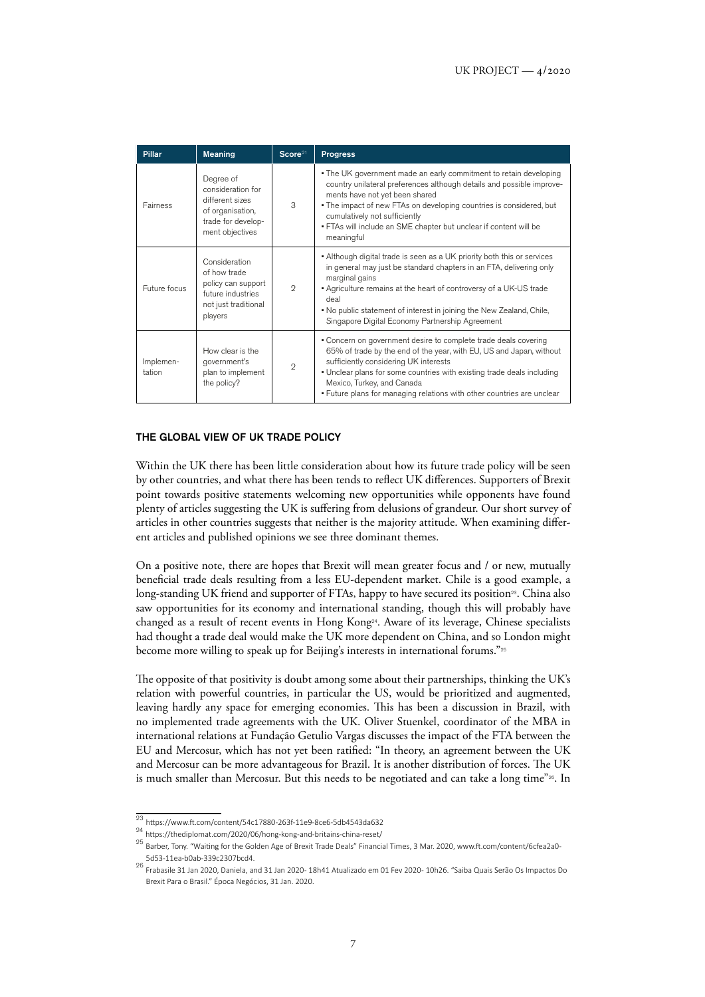| <b>Pillar</b>       | <b>Meaning</b>                                                                                                 | Score <sup>21</sup> | <b>Progress</b>                                                                                                                                                                                                                                                                                                                                                           |
|---------------------|----------------------------------------------------------------------------------------------------------------|---------------------|---------------------------------------------------------------------------------------------------------------------------------------------------------------------------------------------------------------------------------------------------------------------------------------------------------------------------------------------------------------------------|
| Fairness            | Degree of<br>consideration for<br>different sizes<br>of organisation,<br>trade for develop-<br>ment objectives | 3                   | . The UK government made an early commitment to retain developing<br>country unilateral preferences although details and possible improve-<br>ments have not yet been shared<br>. The impact of new FTAs on developing countries is considered, but<br>cumulatively not sufficiently<br>. FTAs will include an SME chapter but unclear if content will be<br>meaningful   |
| Future focus        | Consideration<br>of how trade<br>policy can support<br>future industries<br>not just traditional<br>players    | $\mathfrak{D}$      | • Although digital trade is seen as a UK priority both this or services<br>in general may just be standard chapters in an FTA, delivering only<br>marginal gains<br>. Agriculture remains at the heart of controversy of a UK-US trade<br>deal<br>. No public statement of interest in joining the New Zealand, Chile,<br>Singapore Digital Economy Partnership Agreement |
| Implemen-<br>tation | How clear is the<br>government's<br>plan to implement<br>the policy?                                           | $\mathcal{D}$       | • Concern on government desire to complete trade deals covering<br>65% of trade by the end of the year, with EU, US and Japan, without<br>sufficiently considering UK interests<br>. Unclear plans for some countries with existing trade deals including<br>Mexico, Turkey, and Canada<br>. Future plans for managing relations with other countries are unclear         |

## THE GLOBAL VIEW OF UK TRADE POLICY

Within the UK there has been little consideration about how its future trade policy will be seen by other countries, and what there has been tends to reflect UK differences. Supporters of Brexit point towards positive statements welcoming new opportunities while opponents have found plenty of articles suggesting the UK is suffering from delusions of grandeur. Our short survey of articles in other countries suggests that neither is the majority attitude. When examining different articles and published opinions we see three dominant themes.

On a positive note, there are hopes that Brexit will mean greater focus and / or new, mutually beneficial trade deals resulting from a less EU-dependent market. Chile is a good example, a long-standing UK friend and supporter of FTAs, happy to have secured its position<sup>29</sup>. China also saw opportunities for its economy and international standing, though this will probably have changed as a result of recent events in Hong Kong<sup>24</sup>. Aware of its leverage, Chinese specialists had thought a trade deal would make the UK more dependent on China, and so London might become more willing to speak up for Beijing's interests in international forums."<sup>25</sup>

The opposite of that positivity is doubt among some about their partnerships, thinking the UK's relation with powerful countries, in particular the US, would be prioritized and augmented, leaving hardly any space for emerging economies. This has been a discussion in Brazil, with no implemented trade agreements with the UK. Oliver Stuenkel, coordinator of the MBA in international relations at Fundação Getulio Vargas discusses the impact of the FTA between the EU and Mercosur, which has not yet been ratified: "In theory, an agreement between the UK and Mercosur can be more advantageous for Brazil. It is another distribution of forces. The UK is much smaller than Mercosur. But this needs to be negotiated and can take a long time"26. In

<sup>23</sup> <https://www.ft.com/content/54c17880-263f-11e9-8ce6-5db4543da632>

<sup>24</sup> <https://thediplomat.com/2020/06/hong-kong-and-britains-china-reset/>

<sup>25</sup> Barber, Tony. "Waiting for the Golden Age of Brexit Trade Deals" Financial Times, 3 Mar. 2020, [www.ft.com/content/6cfea2a0-](http://www.ft.com/content/6cfea2a0-5d53-11ea-b0ab-339c2307bcd4) [5d53-11ea-b0ab-339c2307bcd4.](http://www.ft.com/content/6cfea2a0-5d53-11ea-b0ab-339c2307bcd4)

<sup>26</sup> Frabasile 31 Jan 2020, Daniela, and 31 Jan 2020 - 18h41 Atualizado em 01 Fev 2020 - 10h26. "Saiba Quais Serão Os Impactos Do Brexit Para o Brasil." Época Negócios, 31 Jan. 2020.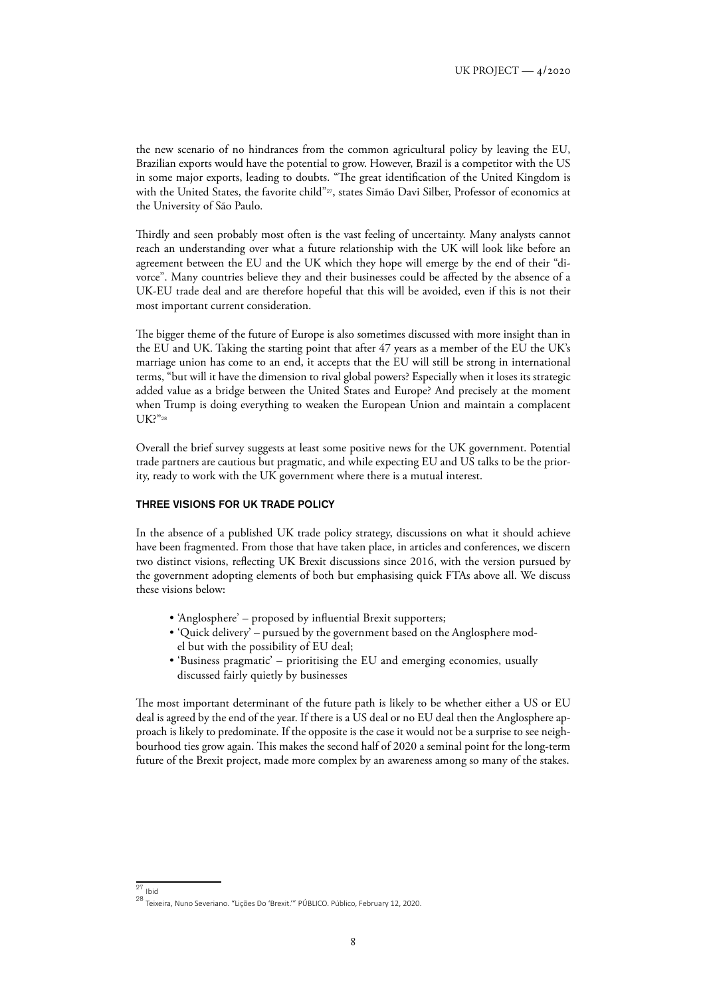the new scenario of no hindrances from the common agricultural policy by leaving the EU, Brazilian exports would have the potential to grow. However, Brazil is a competitor with the US in some major exports, leading to doubts. "The great identification of the United Kingdom is with the United States, the favorite child"<sup>27</sup>, states Simão Davi Silber, Professor of economics at the University of São Paulo.

Thirdly and seen probably most often is the vast feeling of uncertainty. Many analysts cannot reach an understanding over what a future relationship with the UK will look like before an agreement between the EU and the UK which they hope will emerge by the end of their "divorce". Many countries believe they and their businesses could be affected by the absence of a UK-EU trade deal and are therefore hopeful that this will be avoided, even if this is not their most important current consideration.

The bigger theme of the future of Europe is also sometimes discussed with more insight than in the EU and UK. Taking the starting point that after 47 years as a member of the EU the UK's marriage union has come to an end, it accepts that the EU will still be strong in international terms, "but will it have the dimension to rival global powers? Especially when it loses its strategic added value as a bridge between the United States and Europe? And precisely at the moment when Trump is doing everything to weaken the European Union and maintain a complacent UK?"<sup>28</sup>

Overall the brief survey suggests at least some positive news for the UK government. Potential trade partners are cautious but pragmatic, and while expecting EU and US talks to be the priority, ready to work with the UK government where there is a mutual interest.

## THREE VISIONS FOR UK TRADE POLICY

In the absence of a published UK trade policy strategy, discussions on what it should achieve have been fragmented. From those that have taken place, in articles and conferences, we discern two distinct visions, reflecting UK Brexit discussions since 2016, with the version pursued by the government adopting elements of both but emphasising quick FTAs above all. We discuss these visions below:

- 'Anglosphere' proposed by influential Brexit supporters;
- 'Quick delivery' pursued by the government based on the Anglosphere model but with the possibility of EU deal;
- 'Business pragmatic' prioritising the EU and emerging economies, usually discussed fairly quietly by businesses

The most important determinant of the future path is likely to be whether either a US or EU deal is agreed by the end of the year. If there is a US deal or no EU deal then the Anglosphere approach is likely to predominate. If the opposite is the case it would not be a surprise to see neighbourhood ties grow again. This makes the second half of 2020 a seminal point for the long-term future of the Brexit project, made more complex by an awareness among so many of the stakes.

 $27$  Ibid

<sup>28</sup> Teixeira, Nuno Severiano. "Lições Do 'Brexit.'" PÚBLICO. Público, February 12, 2020.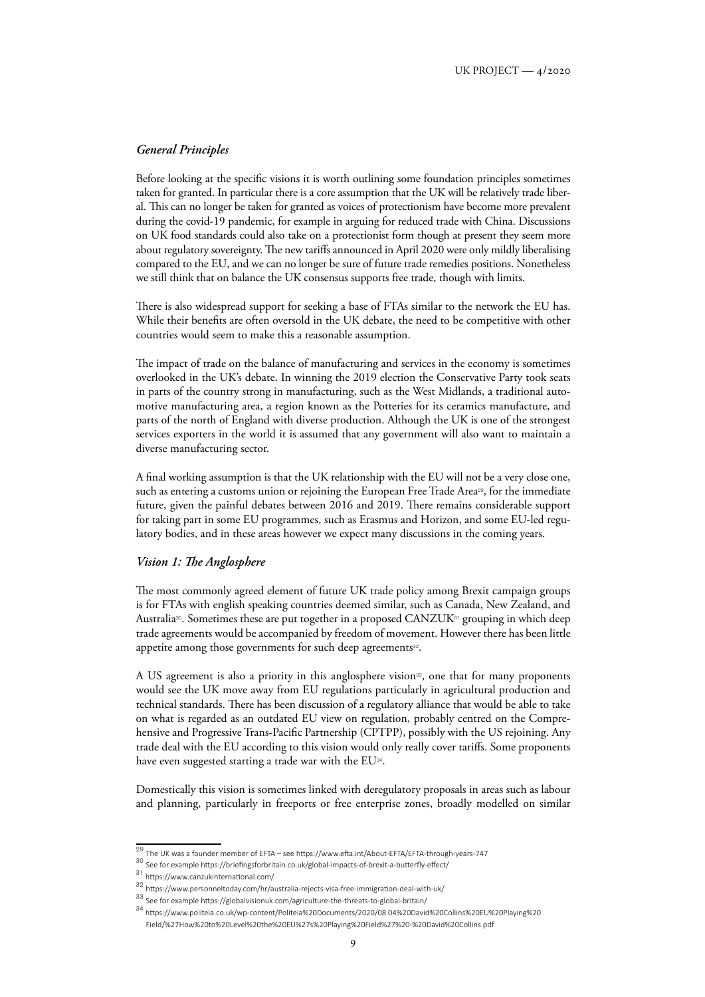## *General Principles*

Before looking at the specific visions it is worth outlining some foundation principles sometimes taken for granted. In particular there is a core assumption that the UK will be relatively trade liberal. This can no longer be taken for granted as voices of protectionism have become more prevalent during the covid-19 pandemic, for example in arguing for reduced trade with China. Discussions on UK food standards could also take on a protectionist form though at present they seem more about regulatory sovereignty. The new tariffs announced in April 2020 were only mildly liberalising compared to the EU, and we can no longer be sure of future trade remedies positions. Nonetheless we still think that on balance the UK consensus supports free trade, though with limits.

There is also widespread support for seeking a base of FTAs similar to the network the EU has. While their benefits are often oversold in the UK debate, the need to be competitive with other countries would seem to make this a reasonable assumption.

The impact of trade on the balance of manufacturing and services in the economy is sometimes overlooked in the UK's debate. In winning the 2019 election the Conservative Party took seats in parts of the country strong in manufacturing, such as the West Midlands, a traditional automotive manufacturing area, a region known as the Potteries for its ceramics manufacture, and parts of the north of England with diverse production. Although the UK is one of the strongest services exporters in the world it is assumed that any government will also want to maintain a diverse manufacturing sector.

A final working assumption is that the UK relationship with the EU will not be a very close one, such as entering a customs union or rejoining the European Free Trade Area<sup>29</sup>, for the immediate future, given the painful debates between 2016 and 2019. There remains considerable support for taking part in some EU programmes, such as Erasmus and Horizon, and some EU-led regulatory bodies, and in these areas however we expect many discussions in the coming years.

## *Vision 1: The Anglosphere*

The most commonly agreed element of future UK trade policy among Brexit campaign groups is for FTAs with english speaking countries deemed similar, such as Canada, New Zealand, and Australia<sup>30</sup>. Sometimes these are put together in a proposed  $CANZUK<sup>31</sup>$  grouping in which deep trade agreements would be accompanied by freedom of movement. However there has been little appetite among those governments for such deep agreements<sup>32</sup>.

A US agreement is also a priority in this anglosphere vision<sup>33</sup>, one that for many proponents would see the UK move away from EU regulations particularly in agricultural production and technical standards. There has been discussion of a regulatory alliance that would be able to take on what is regarded as an outdated EU view on regulation, probably centred on the Comprehensive and Progressive Trans-Pacific Partnership (CPTPP), possibly with the US rejoining. Any trade deal with the EU according to this vision would only really cover tariffs. Some proponents have even suggested starting a trade war with the EU<sup>34</sup>.

Domestically this vision is sometimes linked with deregulatory proposals in areas such as labour and planning, particularly in freeports or free enterprise zones, broadly modelled on similar

<sup>29</sup> The UK was a founder member of EFTA – see<https://www.efta.int/About-EFTA/EFTA-through-years-747>

<sup>30</sup> See for example <https://briefingsforbritain.co.uk/global-impacts-of-brexit-a-butterfly-effect/>

<sup>31</sup> <https://www.canzukinternational.com/>

<sup>32</sup> <https://www.personneltoday.com/hr/australia-rejects-visa-free-immigration-deal-with-uk/>

<sup>33</sup> See for example <https://globalvisionuk.com/agriculture-the-threats-to-global-britain/>

<sup>34</sup> [https://www.politeia.co.uk/wp-content/Politeia%20Documents/2020/08.04%20David%20Collins%20EU%20Playing%20](https://www.politeia.co.uk/wp-content/Politeia%20Documents/2020/08.04%20David%20Collins%20EU%20Playing%20Field/%27How%20to%20Level%20the%20EU%27s%20Playing%20Field%27%20-%20David%20Collins.pdf) [Field/%27How%20to%20Level%20the%20EU%27s%20Playing%20Field%27%20-%20David%20Collins.pdf](https://www.politeia.co.uk/wp-content/Politeia%20Documents/2020/08.04%20David%20Collins%20EU%20Playing%20Field/%27How%20to%20Level%20the%20EU%27s%20Playing%20Field%27%20-%20David%20Collins.pdf)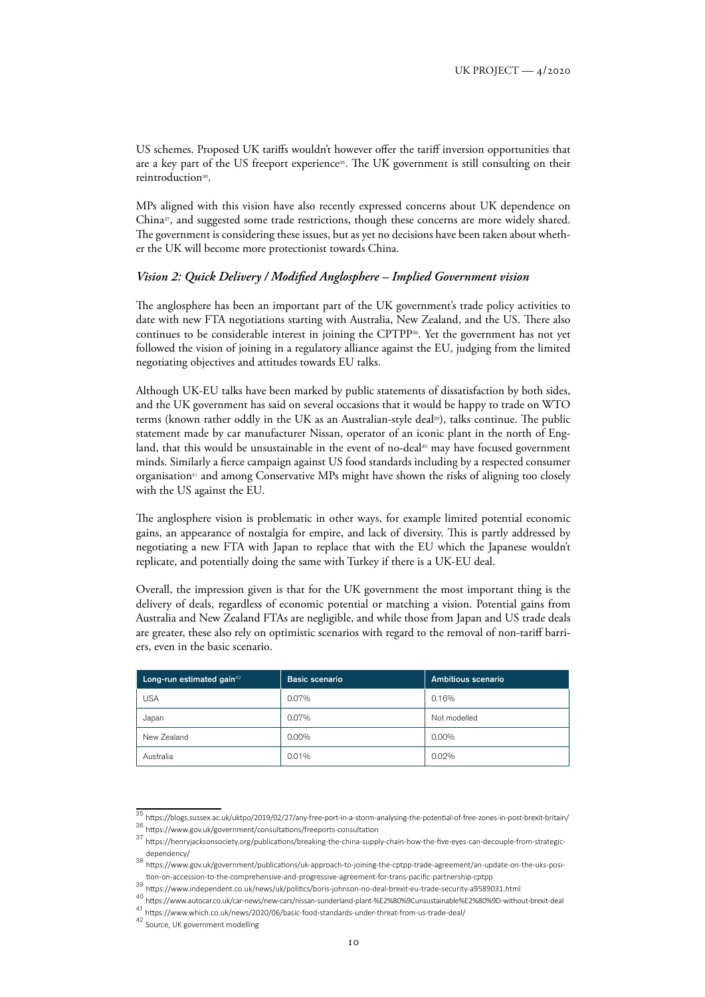US schemes. Proposed UK tariffs wouldn't however offer the tariff inversion opportunities that are a key part of the US freeport experience<sup>35</sup>. The UK government is still consulting on their reintroduction36.

MPs aligned with this vision have also recently expressed concerns about UK dependence on China<sup>37</sup>, and suggested some trade restrictions, though these concerns are more widely shared. The government is considering these issues, but as yet no decisions have been taken about whether the UK will become more protectionist towards China.

## *Vision 2: Quick Delivery / Modified Anglosphere – Implied Government vision*

The anglosphere has been an important part of the UK government's trade policy activities to date with new FTA negotiations starting with Australia, New Zealand, and the US. There also continues to be considerable interest in joining the CPTPP38. Yet the government has not yet followed the vision of joining in a regulatory alliance against the EU, judging from the limited negotiating objectives and attitudes towards EU talks.

Although UK-EU talks have been marked by public statements of dissatisfaction by both sides, and the UK government has said on several occasions that it would be happy to trade on WTO terms (known rather oddly in the UK as an Australian-style deal<sup>39</sup>), talks continue. The public statement made by car manufacturer Nissan, operator of an iconic plant in the north of England, that this would be unsustainable in the event of no-deal<sup>40</sup> may have focused government minds. Similarly a fierce campaign against US food standards including by a respected consumer organisation<sup>41</sup> and among Conservative MPs might have shown the risks of aligning too closely with the US against the EU.

The anglosphere vision is problematic in other ways, for example limited potential economic gains, an appearance of nostalgia for empire, and lack of diversity. This is partly addressed by negotiating a new FTA with Japan to replace that with the EU which the Japanese wouldn't replicate, and potentially doing the same with Turkey if there is a UK-EU deal.

Overall, the impression given is that for the UK government the most important thing is the delivery of deals, regardless of economic potential or matching a vision. Potential gains from Australia and New Zealand FTAs are negligible, and while those from Japan and US trade deals are greater, these also rely on optimistic scenarios with regard to the removal of non-tariff barriers, even in the basic scenario.

| Long-run estimated gain <sup>42</sup> | Basic scenario | Ambitious scenario |  |  |  |
|---------------------------------------|----------------|--------------------|--|--|--|
| <b>USA</b>                            | 0.07%          | 0.16%              |  |  |  |
| Japan                                 | 0.07%          | Not modelled       |  |  |  |
| New Zealand                           | $0.00\%$       | $0.00\%$           |  |  |  |
| Australia                             | 0.01%          | 0.02%              |  |  |  |

<sup>35</sup> <https://blogs.sussex.ac.uk/uktpo/2019/02/27/any-free-port-in-a-storm-analysing-the-potential-of-free-zones-in-post-brexit-britain/>

<sup>36</sup> <https://www.gov.uk/government/consultations/freeports-consultation>

<sup>37</sup> [https://henryjacksonsociety.org/publications/breaking-the-china-supply-chain-how-the-five-eyes-can-decouple-from-strategic](https://henryjacksonsociety.org/publications/breaking-the-china-supply-chain-how-the-five-eyes-can-decouple-from-strategic-dependency/)[dependency/](https://henryjacksonsociety.org/publications/breaking-the-china-supply-chain-how-the-five-eyes-can-decouple-from-strategic-dependency/)

<sup>38</sup> [https://www.gov.uk/government/publications/uk-approach-to-joining-the-cptpp-trade-agreement/an-update-on-the-uks-posi](https://www.gov.uk/government/publications/uk-approach-to-joining-the-cptpp-trade-agreement/an-update-on-the-uks-position-on-accession-to-the-comprehensive-and-progressive-agreement-for-trans-pacific-partnership-cptpp)[tion-on-accession-to-the-comprehensive-and-progressive-agreement-for-trans-pacific-partnership-cptpp](https://www.gov.uk/government/publications/uk-approach-to-joining-the-cptpp-trade-agreement/an-update-on-the-uks-position-on-accession-to-the-comprehensive-and-progressive-agreement-for-trans-pacific-partnership-cptpp)

<sup>39</sup> <https://www.independent.co.uk/news/uk/politics/boris-johnson-no-deal-brexit-eu-trade-security-a9589031.html>

<sup>40</sup> <https://www.autocar.co.uk/car-news/new-cars/nissan-sunderland-plant-%E2%80%9Cunsustainable%E2%80%9D-without-brexit-deal>

<sup>41</sup> <https://www.which.co.uk/news/2020/06/basic-food-standards-under-threat-from-us-trade-deal/>

<sup>42</sup> Source, UK government modelling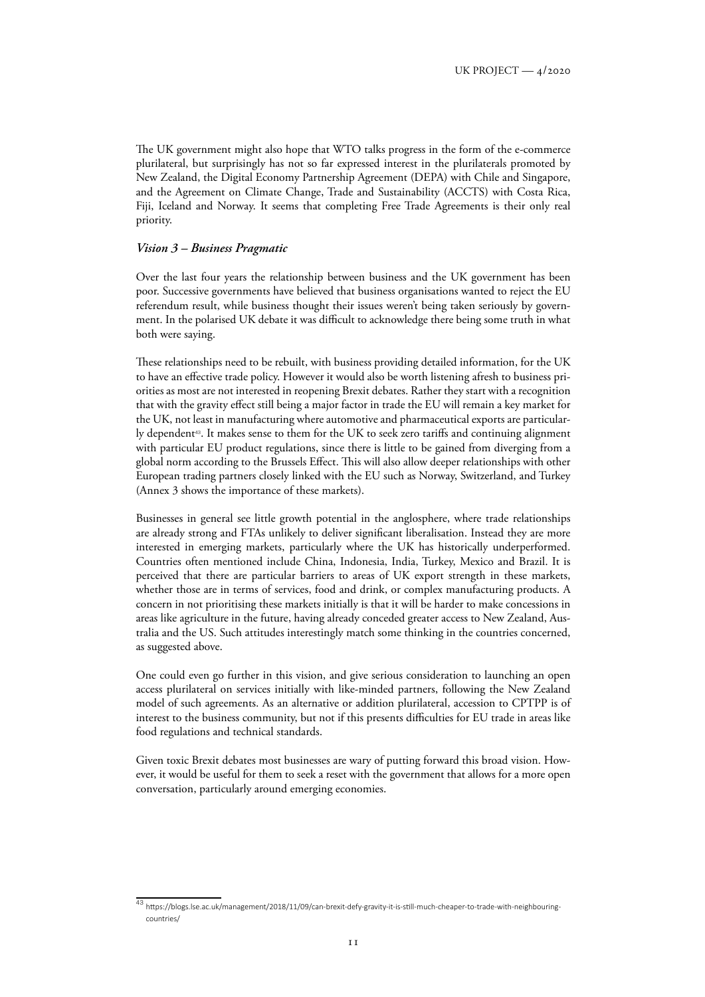The UK government might also hope that WTO talks progress in the form of the e-commerce plurilateral, but surprisingly has not so far expressed interest in the plurilaterals promoted by New Zealand, the Digital Economy Partnership Agreement (DEPA) with Chile and Singapore, and the Agreement on Climate Change, Trade and Sustainability (ACCTS) with Costa Rica, Fiji, Iceland and Norway. It seems that completing Free Trade Agreements is their only real priority.

#### *Vision 3 – Business Pragmatic*

Over the last four years the relationship between business and the UK government has been poor. Successive governments have believed that business organisations wanted to reject the EU referendum result, while business thought their issues weren't being taken seriously by government. In the polarised UK debate it was difficult to acknowledge there being some truth in what both were saying.

These relationships need to be rebuilt, with business providing detailed information, for the UK to have an effective trade policy. However it would also be worth listening afresh to business priorities as most are not interested in reopening Brexit debates. Rather they start with a recognition that with the gravity effect still being a major factor in trade the EU will remain a key market for the UK, not least in manufacturing where automotive and pharmaceutical exports are particularly dependent<sup>43</sup>. It makes sense to them for the UK to seek zero tariffs and continuing alignment with particular EU product regulations, since there is little to be gained from diverging from a global norm according to the Brussels Effect. This will also allow deeper relationships with other European trading partners closely linked with the EU such as Norway, Switzerland, and Turkey (Annex 3 shows the importance of these markets).

Businesses in general see little growth potential in the anglosphere, where trade relationships are already strong and FTAs unlikely to deliver significant liberalisation. Instead they are more interested in emerging markets, particularly where the UK has historically underperformed. Countries often mentioned include China, Indonesia, India, Turkey, Mexico and Brazil. It is perceived that there are particular barriers to areas of UK export strength in these markets, whether those are in terms of services, food and drink, or complex manufacturing products. A concern in not prioritising these markets initially is that it will be harder to make concessions in areas like agriculture in the future, having already conceded greater access to New Zealand, Australia and the US. Such attitudes interestingly match some thinking in the countries concerned, as suggested above.

One could even go further in this vision, and give serious consideration to launching an open access plurilateral on services initially with like-minded partners, following the New Zealand model of such agreements. As an alternative or addition plurilateral, accession to CPTPP is of interest to the business community, but not if this presents difficulties for EU trade in areas like food regulations and technical standards.

Given toxic Brexit debates most businesses are wary of putting forward this broad vision. However, it would be useful for them to seek a reset with the government that allows for a more open conversation, particularly around emerging economies.

<sup>43</sup> https://blogs.lse.ac.uk/management/2018/11/09/can-brexit-defy-gravity-it-is-still-much-cheaper-to-trade-with-neighbouring [countries/](https://blogs.lse.ac.uk/management/2018/11/09/can-brexit-defy-gravity-it-is-still-much-cheaper-to-trade-with-neighbouring-countries/)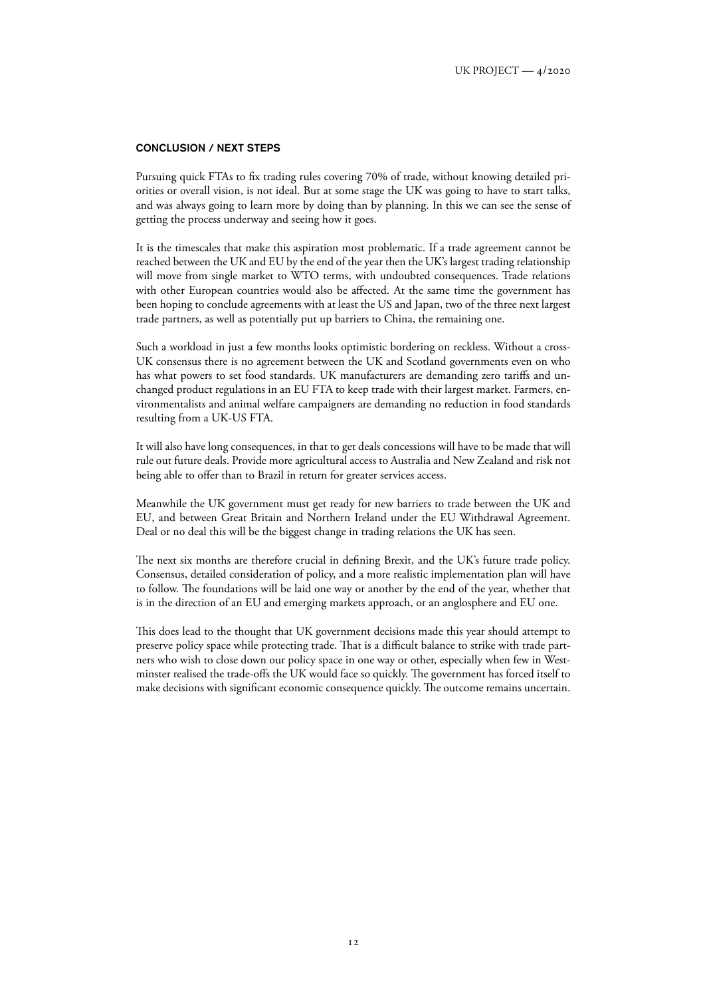#### CONCLUSION / NEXT STEPS

Pursuing quick FTAs to fix trading rules covering 70% of trade, without knowing detailed priorities or overall vision, is not ideal. But at some stage the UK was going to have to start talks, and was always going to learn more by doing than by planning. In this we can see the sense of getting the process underway and seeing how it goes.

It is the timescales that make this aspiration most problematic. If a trade agreement cannot be reached between the UK and EU by the end of the year then the UK's largest trading relationship will move from single market to WTO terms, with undoubted consequences. Trade relations with other European countries would also be affected. At the same time the government has been hoping to conclude agreements with at least the US and Japan, two of the three next largest trade partners, as well as potentially put up barriers to China, the remaining one.

Such a workload in just a few months looks optimistic bordering on reckless. Without a cross-UK consensus there is no agreement between the UK and Scotland governments even on who has what powers to set food standards. UK manufacturers are demanding zero tariffs and unchanged product regulations in an EU FTA to keep trade with their largest market. Farmers, environmentalists and animal welfare campaigners are demanding no reduction in food standards resulting from a UK-US FTA.

It will also have long consequences, in that to get deals concessions will have to be made that will rule out future deals. Provide more agricultural access to Australia and New Zealand and risk not being able to offer than to Brazil in return for greater services access.

Meanwhile the UK government must get ready for new barriers to trade between the UK and EU, and between Great Britain and Northern Ireland under the EU Withdrawal Agreement. Deal or no deal this will be the biggest change in trading relations the UK has seen.

The next six months are therefore crucial in defining Brexit, and the UK's future trade policy. Consensus, detailed consideration of policy, and a more realistic implementation plan will have to follow. The foundations will be laid one way or another by the end of the year, whether that is in the direction of an EU and emerging markets approach, or an anglosphere and EU one.

This does lead to the thought that UK government decisions made this year should attempt to preserve policy space while protecting trade. That is a difficult balance to strike with trade partners who wish to close down our policy space in one way or other, especially when few in Westminster realised the trade-offs the UK would face so quickly. The government has forced itself to make decisions with significant economic consequence quickly. The outcome remains uncertain.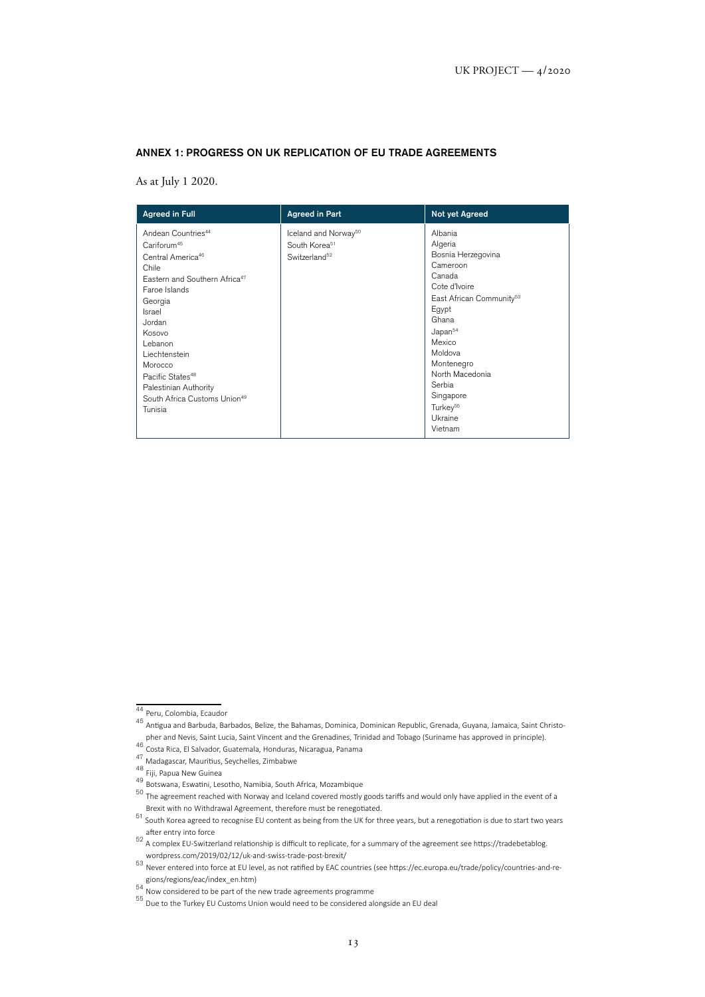#### ANNEX 1: PROGRESS ON UK REPLICATION OF EU TRADE AGREEMENTS

As at July 1 2020.

| <b>Agreed in Full</b>                                                                                                                                                                                                                                                                                                                                             | <b>Agreed in Part</b>                                                                      | Not yet Agreed                                                                                                                                                                                                                                                                              |
|-------------------------------------------------------------------------------------------------------------------------------------------------------------------------------------------------------------------------------------------------------------------------------------------------------------------------------------------------------------------|--------------------------------------------------------------------------------------------|---------------------------------------------------------------------------------------------------------------------------------------------------------------------------------------------------------------------------------------------------------------------------------------------|
| Andean Countries <sup>44</sup><br>Cariforum <sup>45</sup><br>Central America <sup>46</sup><br>Chile<br>Eastern and Southern Africa <sup>47</sup><br>Faroe Islands<br>Georgia<br>Israel<br>Jordan<br>Kosovo<br>Lebanon<br>Liechtenstein<br>Morocco<br>Pacific States <sup>48</sup><br>Palestinian Authority<br>South Africa Customs Union <sup>49</sup><br>Tunisia | Iceland and Norway <sup>50</sup><br>South Korea <sup>51</sup><br>Switzerland <sup>52</sup> | Albania<br>Algeria<br>Bosnia Herzegovina<br>Cameroon<br>Canada<br>Cote d'Ivoire<br>East African Community <sup>53</sup><br>Egypt<br>Ghana<br>Japan <sup>54</sup><br>Mexico<br>Moldova<br>Montenegro<br>North Macedonia<br>Serbia<br>Singapore<br>Turkey <sup>55</sup><br>Ukraine<br>Vietnam |

<sup>44</sup> Peru, Colombia, Ecaudor

<sup>45</sup> Antigua and Barbuda, Barbados, Belize, the Bahamas, Dominica, Dominican Republic, Grenada, Guyana, Jamaica, Saint Christopher and Nevis, Saint Lucia, Saint Vincent and the Grenadines, Trinidad and Tobago (Suriname has approved in principle).<br><sup>46</sup> Costa Rica, El Salvador, Guatemala, Honduras, Nicaragua, Panama

<sup>47</sup> Madagascar, Mauritius, Seychelles, Zimbabwe

<sup>48</sup> Fiji, Papua New Guinea

<sup>49</sup> Botswana, Eswatini, Lesotho, Namibia, South Africa, Mozambique

<sup>50</sup> The agreement reached with Norway and Iceland covered mostly goods tariffs and would only have applied in the event of a Brexit with no Withdrawal Agreement, therefore must be renegotiated.

<sup>51</sup> South Korea agreed to recognise EU content as being from the UK for three years, but a renegotiation is due to start two years

after entry into force<br><sup>52</sup> A complex EU-Switzerland relationship is difficult to replicate, for a summary of the agreement see [https://tradebetablog.](https://tradebetablog.wordpress.com/2019/02/12/uk-and-swiss-trade-post-brexit/)

[wordpress.com/2019/02/12/uk-and-swiss-trade-post-brexit/](https://tradebetablog.wordpress.com/2019/02/12/uk-and-swiss-trade-post-brexit/)<br><sup>53</sup> Never entered into force at EU level, as not ratified by EAC countries (see [https://ec.europa.eu/trade/policy/countries-and-re-](https://ec.europa.eu/trade/policy/countries-and-regions/regions/eac/index_en.htm)

[gions/regions/eac/index\\_en.htm\)](https://ec.europa.eu/trade/policy/countries-and-regions/regions/eac/index_en.htm)<br><sup>54</sup> Now considered to be part of the new trade agreements programme

<sup>55</sup> Due to the Turkey EU Customs Union would need to be considered alongside an EU deal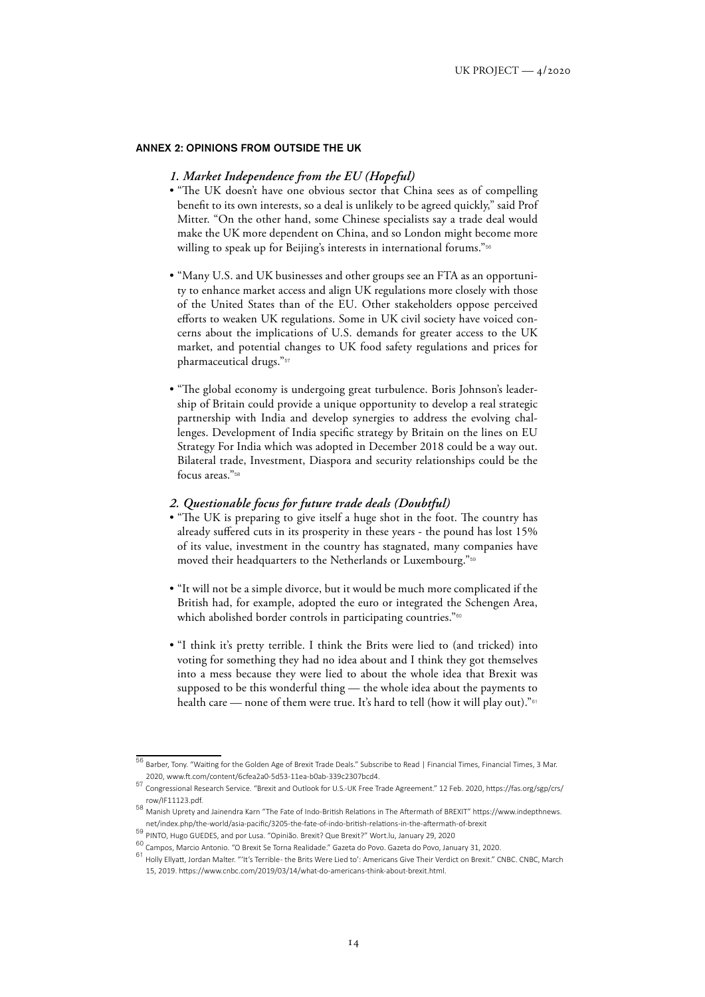#### ANNEX 2: OPINIONS FROM OUTSIDE THE UK

## *1. Market Independence from the EU (Hopeful)*

- "The UK doesn't have one obvious sector that China sees as of compelling benefit to its own interests, so a deal is unlikely to be agreed quickly," said Prof Mitter. "On the other hand, some Chinese specialists say a trade deal would make the UK more dependent on China, and so London might become more willing to speak up for Beijing's interests in international forums."<sup>56</sup>
- "Many U.S. and UK businesses and other groups see an FTA as an opportunity to enhance market access and align UK regulations more closely with those of the United States than of the EU. Other stakeholders oppose perceived efforts to weaken UK regulations. Some in UK civil society have voiced concerns about the implications of U.S. demands for greater access to the UK market, and potential changes to UK food safety regulations and prices for pharmaceutical drugs."<sup>57</sup>
- "The global economy is undergoing great turbulence. Boris Johnson's leadership of Britain could provide a unique opportunity to develop a real strategic partnership with India and develop synergies to address the evolving challenges. Development of India specific strategy by Britain on the lines on EU Strategy For India which was adopted in December 2018 could be a way out. Bilateral trade, Investment, Diaspora and security relationships could be the focus areas."<sup>58</sup>

#### *2. Questionable focus for future trade deals (Doubtful)*

- "The UK is preparing to give itself a huge shot in the foot. The country has already suffered cuts in its prosperity in these years - the pound has lost 15% of its value, investment in the country has stagnated, many companies have moved their headquarters to the Netherlands or Luxembourg."<sup>59</sup>
- "It will not be a simple divorce, but it would be much more complicated if the British had, for example, adopted the euro or integrated the Schengen Area, which abolished border controls in participating countries."<sup>60</sup>
- "I think it's pretty terrible. I think the Brits were lied to (and tricked) into voting for something they had no idea about and I think they got themselves into a mess because they were lied to about the whole idea that Brexit was supposed to be this wonderful thing — the whole idea about the payments to health care — none of them were true. It's hard to tell (how it will play out)."<sup>61</sup>

<sup>56</sup> Barber, Tony. "Waiting for the Golden Age of Brexit Trade Deals." Subscribe to Read | Financial Times, Financial Times, 3 Mar. 2020, [www.ft.com/content/6cfea2a0-5d53-11ea-b0ab-339c2307bcd4](http://www.ft.com/content/6cfea2a0-5d53-11ea-b0ab-339c2307bcd4).

<sup>57</sup> Congressional Research Service. "Brexit and Outlook for U.S.-UK Free Trade Agreement." 12 Feb. 2020, [https://fas.org/sgp/crs/](https://fas.org/sgp/crs/row/IF11123.pdf) [row/IF11123.pdf.](https://fas.org/sgp/crs/row/IF11123.pdf)

<sup>58</sup> Manish Uprety and Jainendra Karn "The Fate of Indo-British Relations in The Aftermath of BREXIT" [https://www.indepthnews.](https://www.indepthnews.net/index.php/the-world/asia-pacific/3205-the-fate-of-indo-british-relations-in-the-aftermath-of-brexit) [net/index.php/the-world/asia-pacific/3205-the-fate-of-indo-british-relations-in-the-aftermath-of-brexit](https://www.indepthnews.net/index.php/the-world/asia-pacific/3205-the-fate-of-indo-british-relations-in-the-aftermath-of-brexit)

<sup>59</sup> PINTO, Hugo GUEDES, and por Lusa. "Opinião. Brexit? Que Brexit?" Wort.lu, January 29, 2020

<sup>60</sup> Campos, Marcio Antonio. "O Brexit Se Torna Realidade." Gazeta do Povo. Gazeta do Povo, January 31, 2020.

 $61$  Hollv Ellyatt, Jordan Malter. "'It's Terrible-the Brits Were Lied to': Americans Give Their Verdict on Brexit." CNBC. CNBC, March 15, 2019.<https://www.cnbc.com/2019/03/14/what-do-americans-think-about-brexit.html>.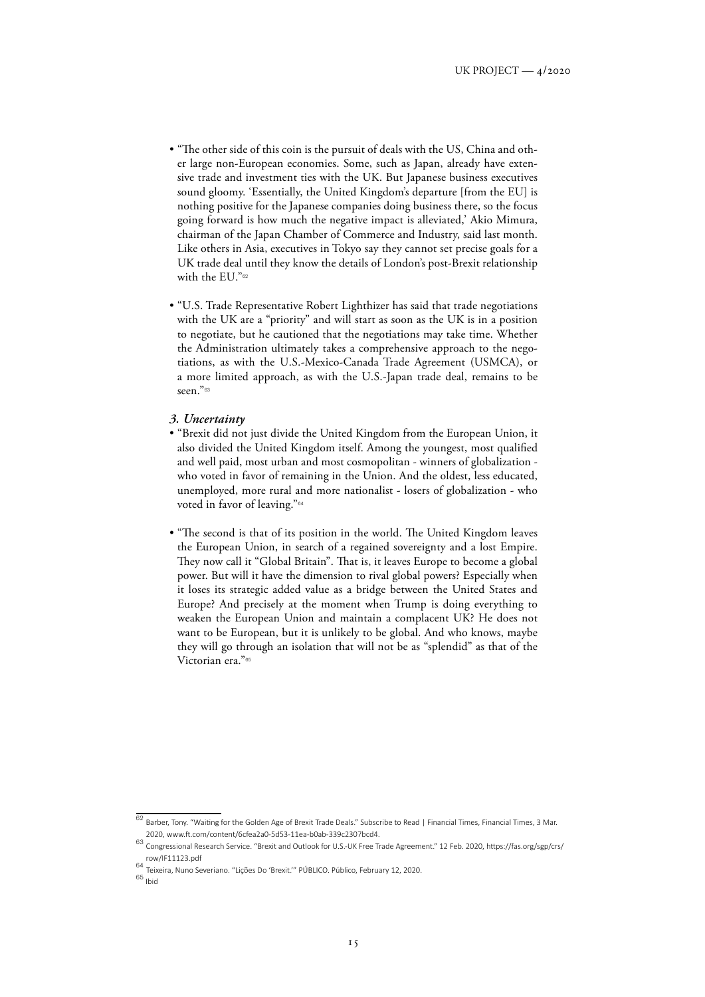- "The other side of this coin is the pursuit of deals with the US, China and other large non-European economies. Some, such as Japan, already have extensive trade and investment ties with the UK. But Japanese business executives sound gloomy. 'Essentially, the United Kingdom's departure [from the EU] is nothing positive for the Japanese companies doing business there, so the focus going forward is how much the negative impact is alleviated,' Akio Mimura, chairman of the Japan Chamber of Commerce and Industry, said last month. Like others in Asia, executives in Tokyo say they cannot set precise goals for a UK trade deal until they know the details of London's post-Brexit relationship with the EU."<sup>62</sup>
- "U.S. Trade Representative Robert Lighthizer has said that trade negotiations with the UK are a "priority" and will start as soon as the UK is in a position to negotiate, but he cautioned that the negotiations may take time. Whether the Administration ultimately takes a comprehensive approach to the negotiations, as with the U.S.-Mexico-Canada Trade Agreement (USMCA), or a more limited approach, as with the U.S.-Japan trade deal, remains to be seen."<sup>63</sup>

#### *3. Uncertainty*

- "Brexit did not just divide the United Kingdom from the European Union, it also divided the United Kingdom itself. Among the youngest, most qualified and well paid, most urban and most cosmopolitan - winners of globalization who voted in favor of remaining in the Union. And the oldest, less educated, unemployed, more rural and more nationalist - losers of globalization - who voted in favor of leaving."<sup>64</sup>
- "The second is that of its position in the world. The United Kingdom leaves the European Union, in search of a regained sovereignty and a lost Empire. They now call it "Global Britain". That is, it leaves Europe to become a global power. But will it have the dimension to rival global powers? Especially when it loses its strategic added value as a bridge between the United States and Europe? And precisely at the moment when Trump is doing everything to weaken the European Union and maintain a complacent UK? He does not want to be European, but it is unlikely to be global. And who knows, maybe they will go through an isolation that will not be as "splendid" as that of the Victorian era."<sup>65</sup>

 $\frac{62}{100}$  Barber, Tony. "Waiting for the Golden Age of Brexit Trade Deals." Subscribe to Read | Financial Times, Financial Times, 3 Mar. 2020, [www.ft.com/content/6cfea2a0-5d53-11ea-b0ab-339c2307bcd4](http://www.ft.com/content/6cfea2a0-5d53-11ea-b0ab-339c2307bcd4).

<sup>63</sup> Congressional Research Service. "Brexit and Outlook for U.S.-UK Free Trade Agreement." 12 Feb. 2020, [https://fas.org/sgp/crs/](https://fas.org/sgp/crs/row/IF11123.pdf) [row/IF11123.pdf](https://fas.org/sgp/crs/row/IF11123.pdf)

<sup>64</sup> Teixeira, Nuno Severiano. "Lições Do 'Brexit.'" PÚBLICO. Público, February 12, 2020.

<sup>65</sup> Ibid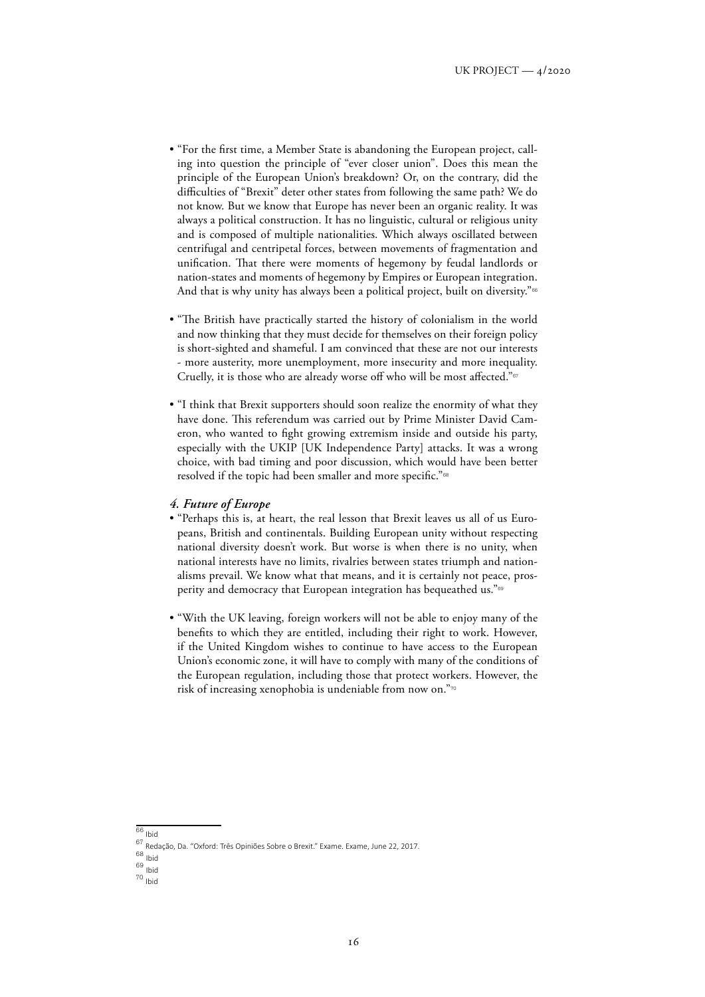- "For the first time, a Member State is abandoning the European project, calling into question the principle of "ever closer union". Does this mean the principle of the European Union's breakdown? Or, on the contrary, did the difficulties of "Brexit" deter other states from following the same path? We do not know. But we know that Europe has never been an organic reality. It was always a political construction. It has no linguistic, cultural or religious unity and is composed of multiple nationalities. Which always oscillated between centrifugal and centripetal forces, between movements of fragmentation and unification. That there were moments of hegemony by feudal landlords or nation-states and moments of hegemony by Empires or European integration. And that is why unity has always been a political project, built on diversity."<sup>66</sup>
- "The British have practically started the history of colonialism in the world and now thinking that they must decide for themselves on their foreign policy is short-sighted and shameful. I am convinced that these are not our interests - more austerity, more unemployment, more insecurity and more inequality. Cruelly, it is those who are already worse off who will be most affected."<sup>67</sup>
- "I think that Brexit supporters should soon realize the enormity of what they have done. This referendum was carried out by Prime Minister David Cameron, who wanted to fight growing extremism inside and outside his party, especially with the UKIP [UK Independence Party] attacks. It was a wrong choice, with bad timing and poor discussion, which would have been better resolved if the topic had been smaller and more specific."<sup>68</sup>

#### *4. Future of Europe*

- "Perhaps this is, at heart, the real lesson that Brexit leaves us all of us Europeans, British and continentals. Building European unity without respecting national diversity doesn't work. But worse is when there is no unity, when national interests have no limits, rivalries between states triumph and nationalisms prevail. We know what that means, and it is certainly not peace, prosperity and democracy that European integration has bequeathed us."<sup>69</sup>
- "With the UK leaving, foreign workers will not be able to enjoy many of the benefits to which they are entitled, including their right to work. However, if the United Kingdom wishes to continue to have access to the European Union's economic zone, it will have to comply with many of the conditions of the European regulation, including those that protect workers. However, the risk of increasing xenophobia is undeniable from now on."<sup>70</sup>

 $66$  Ibid

<sup>67</sup> Redação, Da. "Oxford: Três Opiniões Sobre o Brexit." Exame. Exame, June 22, 2017.

<sup>68</sup> Ibid

<sup>69</sup> Ibid

 $70$   $\frac{1}{1}$  Ibid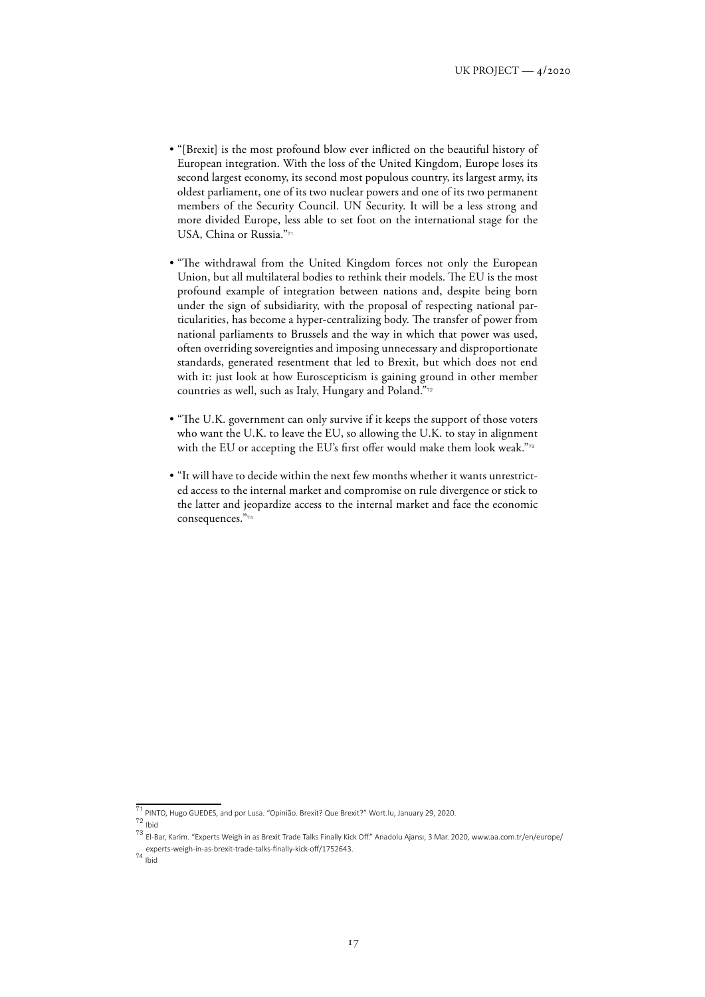- "[Brexit] is the most profound blow ever inflicted on the beautiful history of European integration. With the loss of the United Kingdom, Europe loses its second largest economy, its second most populous country, its largest army, its oldest parliament, one of its two nuclear powers and one of its two permanent members of the Security Council. UN Security. It will be a less strong and more divided Europe, less able to set foot on the international stage for the USA, China or Russia."71
- "The withdrawal from the United Kingdom forces not only the European Union, but all multilateral bodies to rethink their models. The EU is the most profound example of integration between nations and, despite being born under the sign of subsidiarity, with the proposal of respecting national particularities, has become a hyper-centralizing body. The transfer of power from national parliaments to Brussels and the way in which that power was used, often overriding sovereignties and imposing unnecessary and disproportionate standards, generated resentment that led to Brexit, but which does not end with it: just look at how Euroscepticism is gaining ground in other member countries as well, such as Italy, Hungary and Poland."<sup>72</sup>
- "The U.K. government can only survive if it keeps the support of those voters who want the U.K. to leave the EU, so allowing the U.K. to stay in alignment with the EU or accepting the EU's first offer would make them look weak."<sup>73</sup>
- "It will have to decide within the next few months whether it wants unrestricted access to the internal market and compromise on rule divergence or stick to the latter and jeopardize access to the internal market and face the economic consequences."<sup>74</sup>

<sup>71</sup> PINTO, Hugo GUEDES, and por Lusa. "Opinião. Brexit? Que Brexit?" Wort.lu, January 29, 2020.

 $72$  Ibid

<sup>73</sup> El-Bar, Karim. "Experts Weigh in as Brexit Trade Talks Finally Kick Off." Anadolu Ajansı, 3 Mar. 2020, [www.aa.com.tr/en/europe/](http://www.aa.com.tr/en/europe/experts-weigh-in-as-brexit-trade-talks-finally-kick-off/1752643) [experts-weigh-in-as-brexit-trade-talks-finally-kick-off/1752643.](http://www.aa.com.tr/en/europe/experts-weigh-in-as-brexit-trade-talks-finally-kick-off/1752643)

<sup>74</sup> Ibid